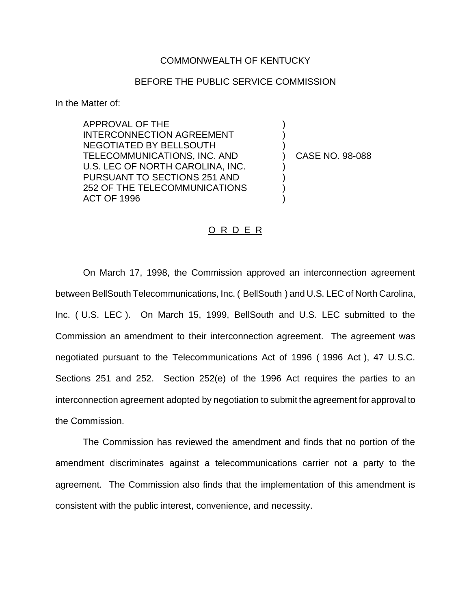## COMMONWEALTH OF KENTUCKY

## BEFORE THE PUBLIC SERVICE COMMISSION

In the Matter of:

APPROVAL OF THE INTERCONNECTION AGREEMENT NEGOTIATED BY BELLSOUTH TELECOMMUNICATIONS, INC. AND U.S. LEC OF NORTH CAROLINA, INC. PURSUANT TO SECTIONS 251 AND 252 OF THE TELECOMMUNICATIONS ACT OF 1996

) CASE NO. 98-088

) ) )

) ) ) )

## O R D E R

On March 17, 1998, the Commission approved an interconnection agreement between BellSouth Telecommunications, Inc. ( BellSouth ) and U.S. LEC of North Carolina, Inc. ( U.S. LEC ). On March 15, 1999, BellSouth and U.S. LEC submitted to the Commission an amendment to their interconnection agreement. The agreement was negotiated pursuant to the Telecommunications Act of 1996 ( 1996 Act ), 47 U.S.C. Sections 251 and 252. Section 252(e) of the 1996 Act requires the parties to an interconnection agreement adopted by negotiation to submit the agreement for approval to the Commission.

The Commission has reviewed the amendment and finds that no portion of the amendment discriminates against a telecommunications carrier not a party to the agreement. The Commission also finds that the implementation of this amendment is consistent with the public interest, convenience, and necessity.